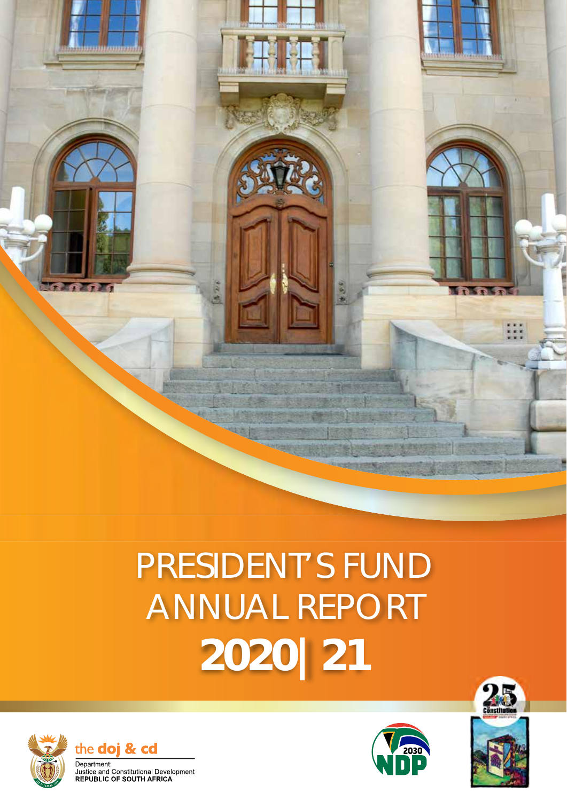

## PRESIDENT'S FUND ANNUAL REPORT **2020|21**







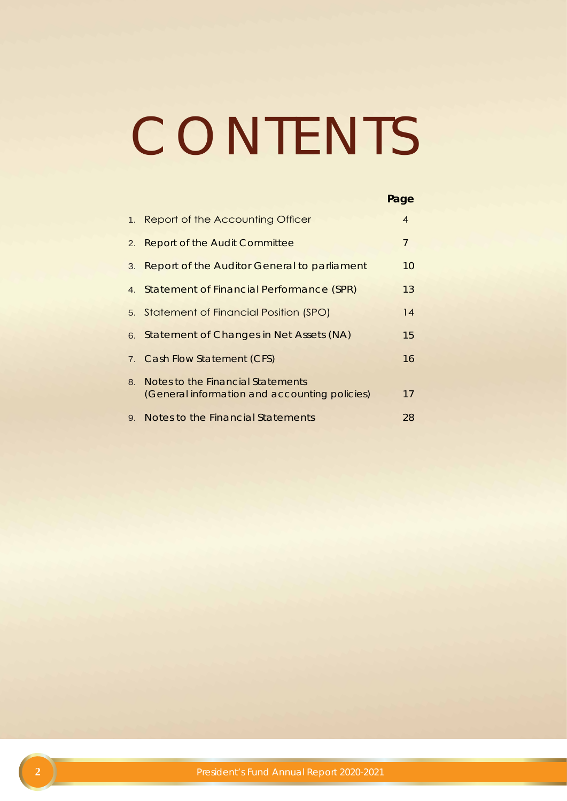# CONTENTS

|    |                                                | Page           |
|----|------------------------------------------------|----------------|
|    | 1. Report of the Accounting Officer            | $\overline{A}$ |
|    | 2. Report of the Audit Committee               | $\overline{7}$ |
|    | 3. Report of the Auditor General to parliament | 10             |
|    | 4. Statement of Financial Performance (SPR)    | 13             |
|    | 5. Statement of Financial Position (SPO)       | 14             |
| 6. | Statement of Changes in Net Assets (NA)        | 15             |
|    | 7. Cash Flow Statement (CFS)                   | 16             |
| 8. | Notes to the Financial Statements              |                |
|    | (General information and accounting policies)  | 17             |
|    | 9. Notes to the Financial Statements           | 28             |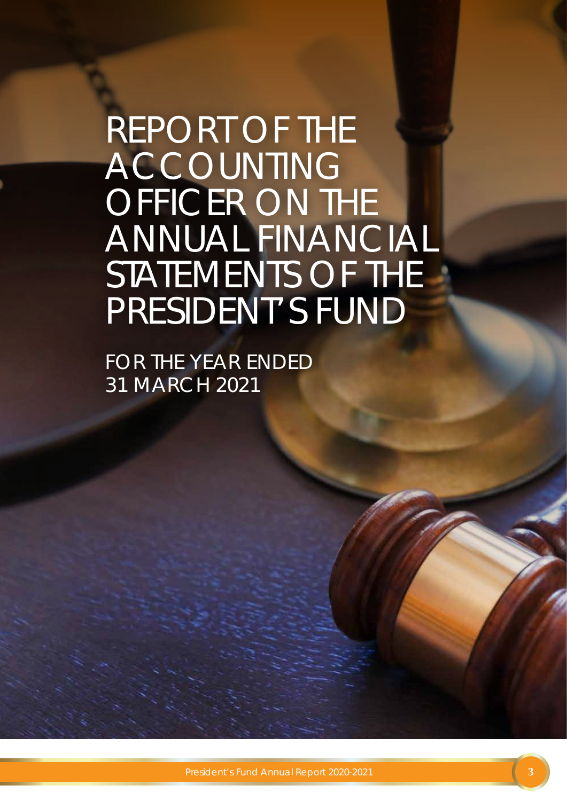REPORT OF THE ACCOUNTING OFFICER ON THE ANNUAL FINANCIAL STATEMENTS OF THE PRESIDENT'S FUND

FOR THE YEAR ENDED 31 MARCH 2021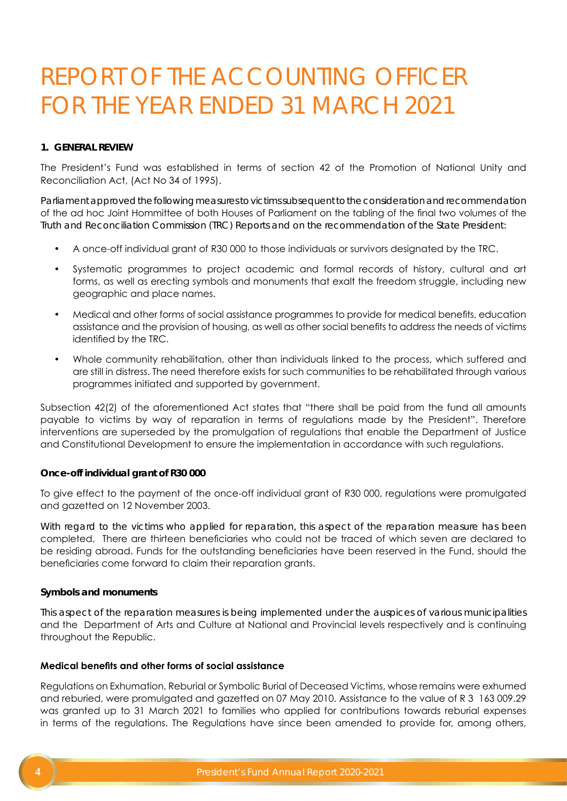## REPORT OF THE ACCOUNTING OFFICER FOR THE YEAR ENDED 31 MARCH 2021

#### **1. GENERAL REVIEW**

The President's Fund was established in terms of section 42 of the Promotion of National Unity and Reconciliation Act, (Act No 34 of 1995).

Parliament approved the following measures to victims subsequent to the consideration and recommendation of the ad hoc Joint Hommittee of both Houses of Parliament on the tabling of the final two volumes of the Truth and Reconciliation Commission (TRC) Reports and on the recommendation of the State President:

- A once-off individual grant of R30 000 to those individuals or survivors designated by the TRC.
- Systematic programmes to project academic and formal records of history, cultural and art forms, as well as erecting symbols and monuments that exalt the freedom struggle, including new geographic and place names.
- Medical and other forms of social assistance programmes to provide for medical benefits, education assistance and the provision of housing, as well as other social benefits to address the needs of victims identified by the TRC.
- Whole community rehabilitation, other than individuals linked to the process, which suffered and are still in distress. The need therefore exists for such communities to be rehabilitated through various programmes initiated and supported by government.

Subsection 42(2) of the aforementioned Act states that "there shall be paid from the fund all amounts payable to victims by way of reparation in terms of regulations made by the President". Therefore interventions are superseded by the promulgation of regulations that enable the Department of Justice and Constitutional Development to ensure the implementation in accordance with such regulations.

#### **Once-off individual grant of R30 000**

To give effect to the payment of the once-off individual grant of R30 000, regulations were promulgated and gazetted on 12 November 2003.

With regard to the victims who applied for reparation, this aspect of the reparation measure has been completed. There are thirteen beneficiaries who could not be traced of which seven are declared to be residing abroad. Funds for the outstanding beneficiaries have been reserved in the Fund, should the beneficiaries come forward to claim their reparation grants.

#### **Symbols and monuments**

This aspect of the reparation measures is being implemented under the auspices of various municipalities and the Department of Arts and Culture at National and Provincial levels respectively and is continuing throughout the Republic.

#### **Medical benefits and other forms of social assistance**

Regulations on Exhumation, Reburial or Symbolic Burial of Deceased Victims, whose remains were exhumed and reburied, were promulgated and gazetted on 07 May 2010. Assistance to the value of R 3 163 009.29 was granted up to 31 March 2021 to families who applied for contributions towards reburial expenses in terms of the regulations. The Regulations have since been amended to provide for, among others,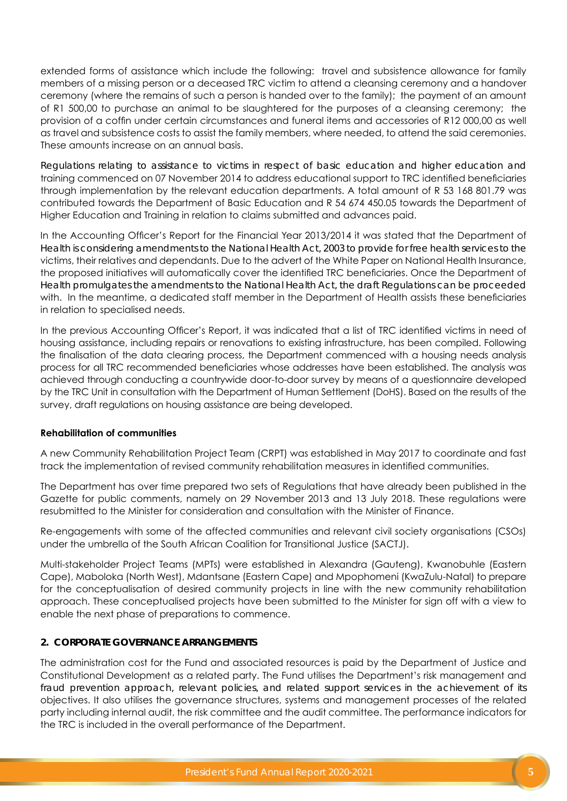extended forms of assistance which include the following: travel and subsistence allowance for family members of a missing person or a deceased TRC victim to attend a cleansing ceremony and a handover ceremony (where the remains of such a person is handed over to the family); the payment of an amount of R1 500,00 to purchase an animal to be slaughtered for the purposes of a cleansing ceremony; the provision of a coffin under certain circumstances and funeral items and accessories of R12 000,00 as well as travel and subsistence costs to assist the family members, where needed, to attend the said ceremonies. These amounts increase on an annual basis.

Regulations relating to assistance to victims in respect of basic education and higher education and training commenced on 07 November 2014 to address educational support to TRC identified beneficiaries through implementation by the relevant education departments. A total amount of R 53 168 801.79 was contributed towards the Department of Basic Education and R 54 674 450.05 towards the Department of Higher Education and Training in relation to claims submitted and advances paid.

In the Accounting Officer's Report for the Financial Year 2013/2014 it was stated that the Department of Health is considering amendments to the National Health Act, 2003 to provide for free health services to the victims, their relatives and dependants. Due to the advert of the White Paper on National Health Insurance, the proposed initiatives will automatically cover the identified TRC beneficiaries. Once the Department of Health promulgates the amendments to the National Health Act, the draft Regulations can be proceeded with. In the meantime, a dedicated staff member in the Department of Health assists these beneficiaries in relation to specialised needs.

In the previous Accounting Officer's Report, it was indicated that a list of TRC identified victims in need of housing assistance, including repairs or renovations to existing infrastructure, has been compiled. Following the finalisation of the data clearing process, the Department commenced with a housing needs analysis process for all TRC recommended beneficiaries whose addresses have been established. The analysis was achieved through conducting a countrywide door-to-door survey by means of a questionnaire developed by the TRC Unit in consultation with the Department of Human Settlement (DoHS). Based on the results of the survey, draft regulations on housing assistance are being developed.

#### **Rehabilitation of communities**

A new Community Rehabilitation Project Team (CRPT) was established in May 2017 to coordinate and fast track the implementation of revised community rehabilitation measures in identified communities.

The Department has over time prepared two sets of Regulations that have already been published in the Gazette for public comments, namely on 29 November 2013 and 13 July 2018. These regulations were resubmitted to the Minister for consideration and consultation with the Minister of Finance.

Re-engagements with some of the affected communities and relevant civil society organisations (CSOs) under the umbrella of the South African Coalition for Transitional Justice (SACTJ).

Multi-stakeholder Project Teams (MPTs) were established in Alexandra (Gauteng), Kwanobuhle (Eastern Cape), Maboloka (North West), Mdantsane (Eastern Cape) and Mpophomeni (KwaZulu-Natal) to prepare for the conceptualisation of desired community projects in line with the new community rehabilitation approach. These conceptualised projects have been submitted to the Minister for sign off with a view to enable the next phase of preparations to commence.

#### **2. CORPORATE GOVERNANCE ARRANGEMENTS**

The administration cost for the Fund and associated resources is paid by the Department of Justice and Constitutional Development as a related party. The Fund utilises the Department's risk management and fraud prevention approach, relevant policies, and related support services in the achievement of its objectives. It also utilises the governance structures, systems and management processes of the related party including internal audit, the risk committee and the audit committee. The performance indicators for the TRC is included in the overall performance of the Department.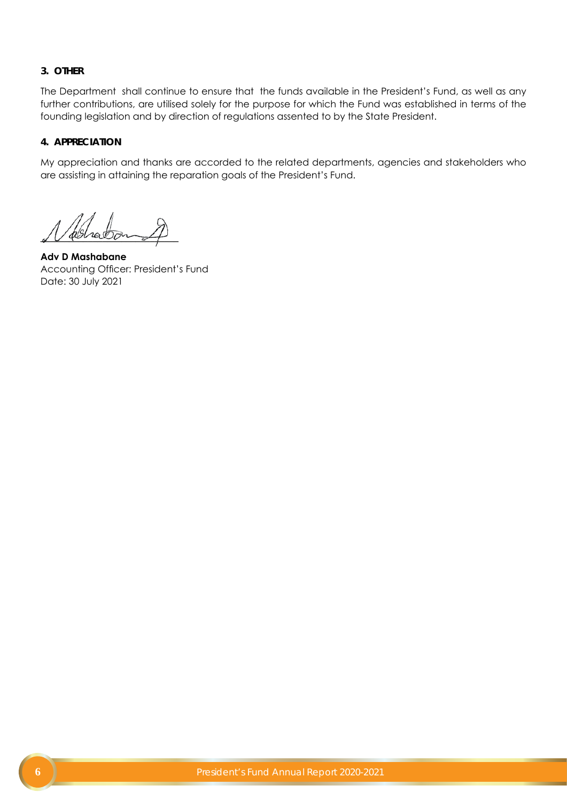#### **3. OTHER**

The Department shall continue to ensure that the funds available in the President's Fund, as well as any further contributions, are utilised solely for the purpose for which the Fund was established in terms of the founding legislation and by direction of regulations assented to by the State President.

#### **4. APPRECIATION**

My appreciation and thanks are accorded to the related departments, agencies and stakeholders who are assisting in attaining the reparation goals of the President's Fund.

 $\angle$ 

**Adv D Mashabane** Accounting Officer: President's Fund Date: 30 July 2021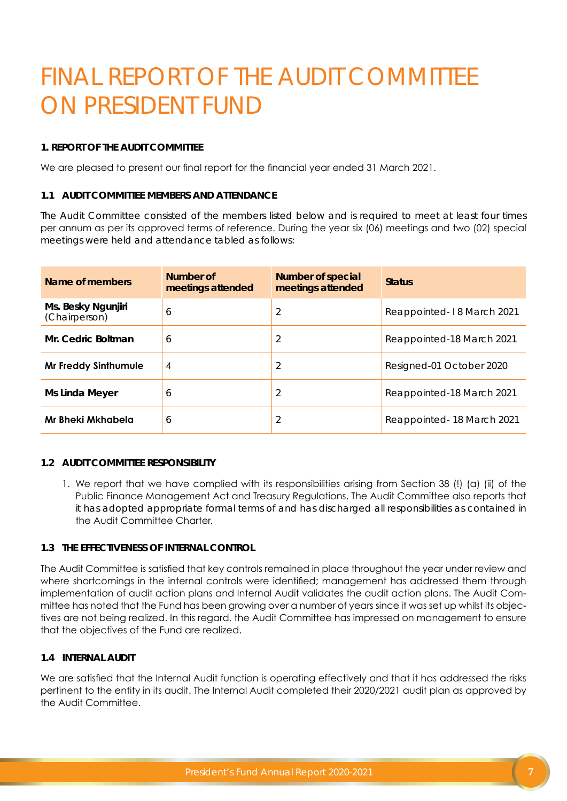## FINAL REPORT OF THE AUDIT COMMITTEE ON PRESIDENT FUND

#### **1. REPORT OF THE AUDIT COMMITTEE**

We are pleased to present our final report for the financial year ended 31 March 2021.

#### **1.1 AUDIT COMMITTEE MEMBERS AND ATTENDANCE**

The Audit Committee consisted of the members listed below and is required to meet at least four times per annum as per its approved terms of reference. During the year six (06) meetings and two (02) special meetings were held and attendance tabled as follows:

| Name of members                     | Number of<br>meetings attended | <b>Number of special</b><br>meetings attended | <b>Status</b>             |
|-------------------------------------|--------------------------------|-----------------------------------------------|---------------------------|
| Ms. Besky Ngunjiri<br>(Chairperson) | 6                              | 2                                             | Reappointed-18 March 2021 |
| Mr. Cedric Boltman                  | 6                              | 2                                             | Reappointed-18 March 2021 |
| <b>Mr Freddy Sinthumule</b>         | 4                              | 2                                             | Resigned-01 October 2020  |
| Ms Linda Meyer                      | 6                              | 2                                             | Reappointed-18 March 2021 |
| Mr Bheki Mkhabela                   | 6                              | 2                                             | Reappointed-18 March 2021 |

#### **1.2 AUDIT COMMITTEE RESPONSIBILITY**

1. We report that we have complied with its responsibilities arising from Section 38 (!) (a) (ii) of the Public Finance Management Act and Treasury Regulations. The Audit Committee also reports that it has adopted appropriate formal terms of and has discharged all responsibilities as contained in the Audit Committee Charter.

#### **1.3 THE EFFECTIVENESS OF INTERNAL CONTROL**

The Audit Committee is satisfied that key controls remained in place throughout the year under review and where shortcomings in the internal controls were identified; management has addressed them through implementation of audit action plans and Internal Audit validates the audit action plans. The Audit Committee has noted that the Fund has been growing over a number of years since it was set up whilst its objectives are not being realized. In this regard, the Audit Committee has impressed on management to ensure that the objectives of the Fund are realized.

#### **1.4 INTERNAL AUDIT**

We are satisfied that the Internal Audit function is operating effectively and that it has addressed the risks pertinent to the entity in its audit. The Internal Audit completed their 2020/2021 audit plan as approved by the Audit Committee.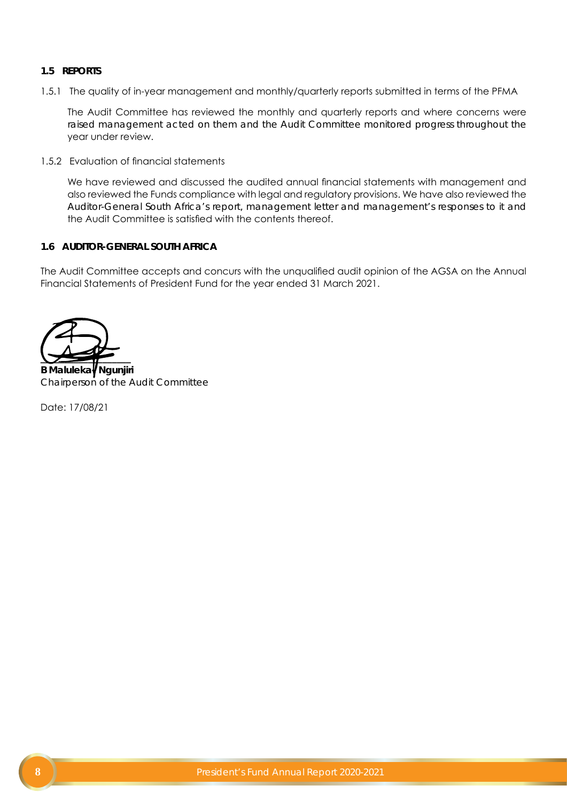#### **1.5 REPORTS**

1.5.1 The quality of in-year management and monthly/quarterly reports submitted in terms of the PFMA

The Audit Committee has reviewed the monthly and quarterly reports and where concerns were raised management acted on them and the Audit Committee monitored progress throughout the year under review.

1.5.2 Evaluation of financial statements

We have reviewed and discussed the audited annual financial statements with management and also reviewed the Funds compliance with legal and regulatory provisions. We have also reviewed the Auditor-General South Africa's report, management letter and management's responses to it and the Audit Committee is satisfied with the contents thereof.

#### **1.6 AUDITOR-GENERAL SOUTH AFRICA**

The Audit Committee accepts and concurs with the unqualified audit opinion of the AGSA on the Annual Financial Statements of President Fund for the year ended 31 March 2021.

**\_\_\_\_\_\_\_\_\_\_\_\_\_\_\_\_\_\_\_**

**B Maluleka** Ngunjiri Chairperson of the Audit Committee

Date: 17/08/21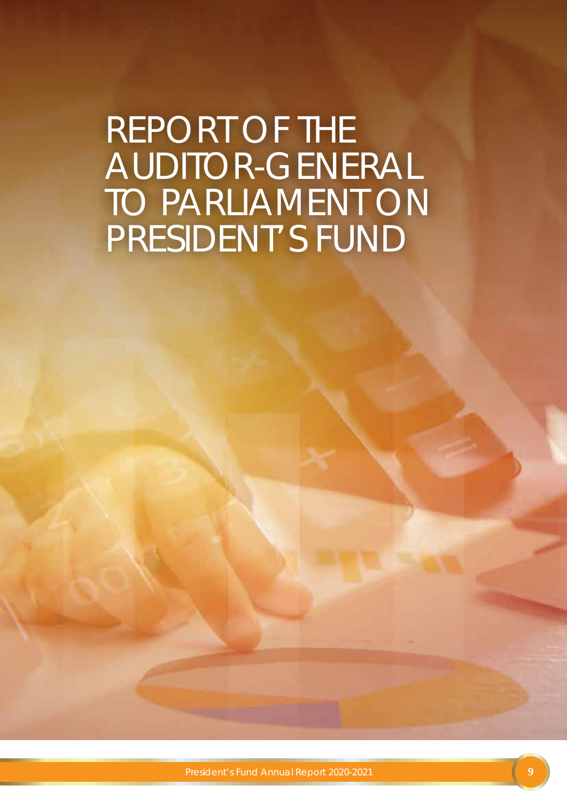REPORT OF THE AUDITOR-GENERAL TO PARLIAMENT ON PRESIDENT'S FUND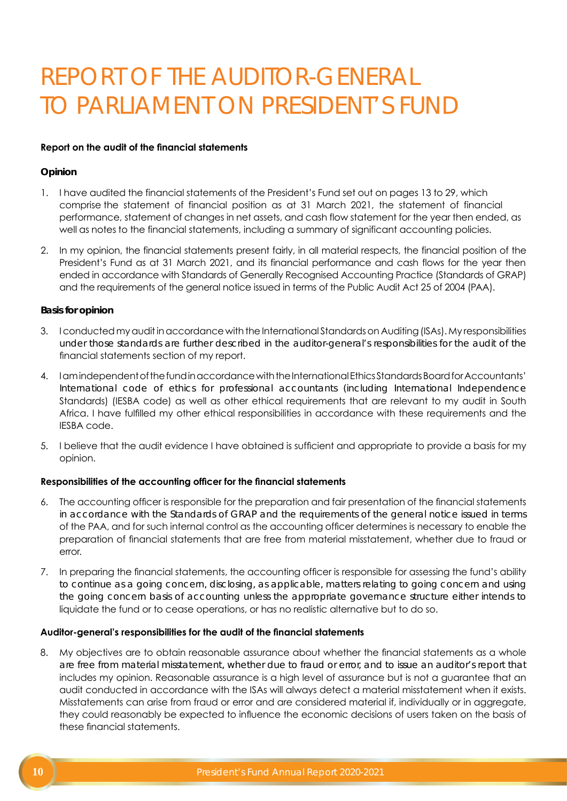## REPORT OF THE AUDITOR-GENERAL TO PARLIAMENT ON PRESIDENT'S FUND

#### **Report on the audit of the financial statements**

#### **Opinion**

- 1. I have audited the financial statements of the President's Fund set out on pages 13 to 29, which comprise the statement of financial position as at 31 March 2021, the statement of financial performance, statement of changes in net assets, and cash flow statement for the year then ended, as well as notes to the financial statements, including a summary of significant accounting policies.
- 2. In my opinion, the financial statements present fairly, in all material respects, the financial position of the President's Fund as at 31 March 2021, and its financial performance and cash flows for the year then ended in accordance with Standards of Generally Recognised Accounting Practice (Standards of GRAP) and the requirements of the general notice issued in terms of the Public Audit Act 25 of 2004 (PAA).

#### **Basis for opinion**

- 3. I conducted my audit in accordance with the International Standards on Auditing (ISAs). My responsibilities under those standards are further described in the auditor-general's responsibilities for the audit of the financial statements section of my report.
- 4. I am independent of the fund in accordance with the International Ethics Standards Board for Accountants' International code of ethics for professional accountants (including International Independence Standards) (IESBA code) as well as other ethical requirements that are relevant to my audit in South Africa. I have fulfilled my other ethical responsibilities in accordance with these requirements and the IESBA code.
- 5. I believe that the audit evidence I have obtained is sufficient and appropriate to provide a basis for my opinion.

#### **Responsibilities of the accounting officer for the financial statements**

- 6. The accounting officer is responsible for the preparation and fair presentation of the financial statements in accordance with the Standards of GRAP and the requirements of the general notice issued in terms of the PAA, and for such internal control as the accounting officer determines is necessary to enable the preparation of financial statements that are free from material misstatement, whether due to fraud or error.
- 7. In preparing the financial statements, the accounting officer is responsible for assessing the fund's ability to continue as a going concern, disclosing, as applicable, matters relating to going concern and using the going concern basis of accounting unless the appropriate governance structure either intends to liquidate the fund or to cease operations, or has no realistic alternative but to do so.

#### **Auditor-general's responsibilities for the audit of the financial statements**

8. My objectives are to obtain reasonable assurance about whether the financial statements as a whole are free from material misstatement, whether due to fraud or error, and to issue an auditor's report that includes my opinion. Reasonable assurance is a high level of assurance but is not a guarantee that an audit conducted in accordance with the ISAs will always detect a material misstatement when it exists. Misstatements can arise from fraud or error and are considered material if, individually or in aggregate, they could reasonably be expected to influence the economic decisions of users taken on the basis of these financial statements.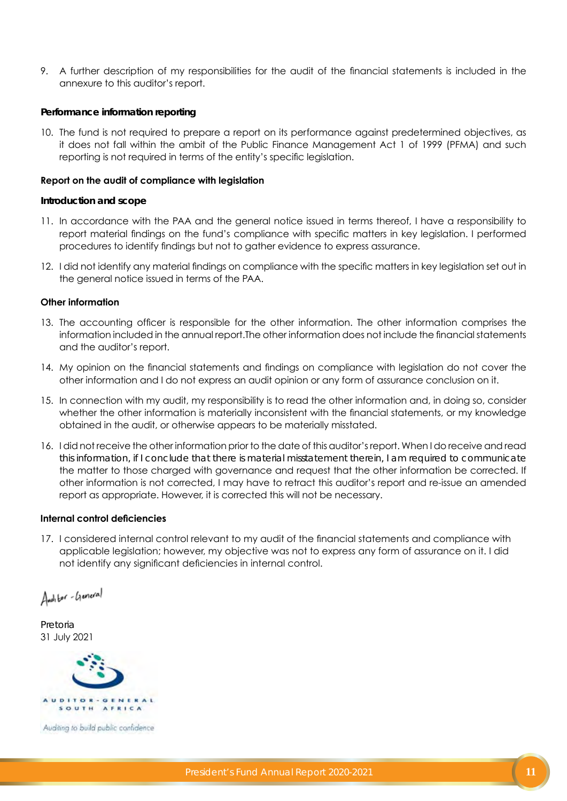9. A further description of my responsibilities for the audit of the financial statements is included in the annexure to this auditor's report.

#### **Performance information reporting**

10. The fund is not required to prepare a report on its performance against predetermined objectives, as it does not fall within the ambit of the Public Finance Management Act 1 of 1999 (PFMA) and such reporting is not required in terms of the entity's specific legislation.

#### **Report on the audit of compliance with legislation**

#### **Introduction and scope**

- 11. In accordance with the PAA and the general notice issued in terms thereof, I have a responsibility to report material findings on the fund's compliance with specific matters in key legislation. I performed procedures to identify findings but not to gather evidence to express assurance.
- 12. I did not identify any material findings on compliance with the specific matters in key legislation set out in the general notice issued in terms of the PAA.

#### **Other information**

- 13. The accounting officer is responsible for the other information. The other information comprises the information included in the annual report.The other information does not include the financial statements and the auditor's report.
- 14. My opinion on the financial statements and findings on compliance with legislation do not cover the other information and I do not express an audit opinion or any form of assurance conclusion on it.
- 15. In connection with my audit, my responsibility is to read the other information and, in doing so, consider whether the other information is materially inconsistent with the financial statements, or my knowledge obtained in the audit, or otherwise appears to be materially misstated.
- 16. I did not receive the other information prior to the date of this auditor's report. When I do receive and read this information, if I conclude that there is material misstatement therein, I am required to communicate the matter to those charged with governance and request that the other information be corrected. If other information is not corrected, I may have to retract this auditor's report and re-issue an amended report as appropriate. However, it is corrected this will not be necessary.

#### **Internal control deficiencies**

17. I considered internal control relevant to my audit of the financial statements and compliance with applicable legislation; however, my objective was not to express any form of assurance on it. I did not identify any significant deficiencies in internal control.

Auditor-General

Pretoria 31 July 2021

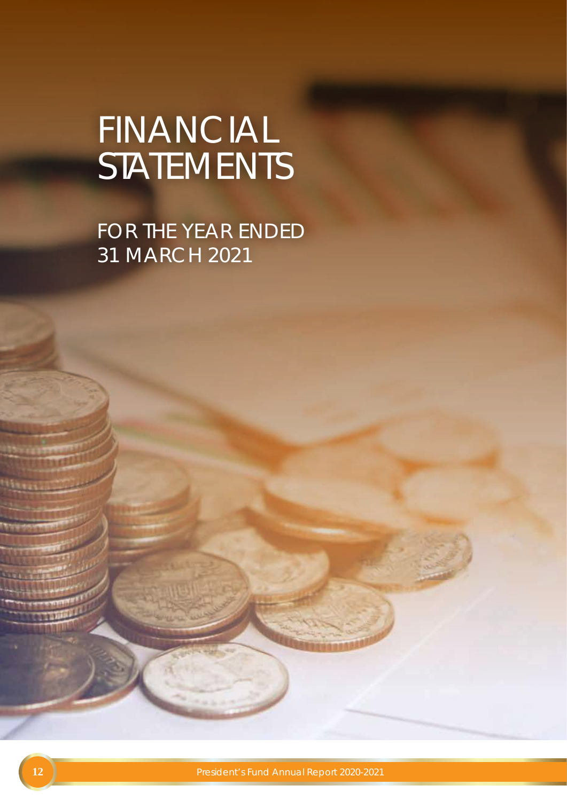## FINANCIAL **STATEMENTS**

FOR THE YEAR ENDED 31 MARCH 2021

**12 President's Fund Annual Report 2020-2021**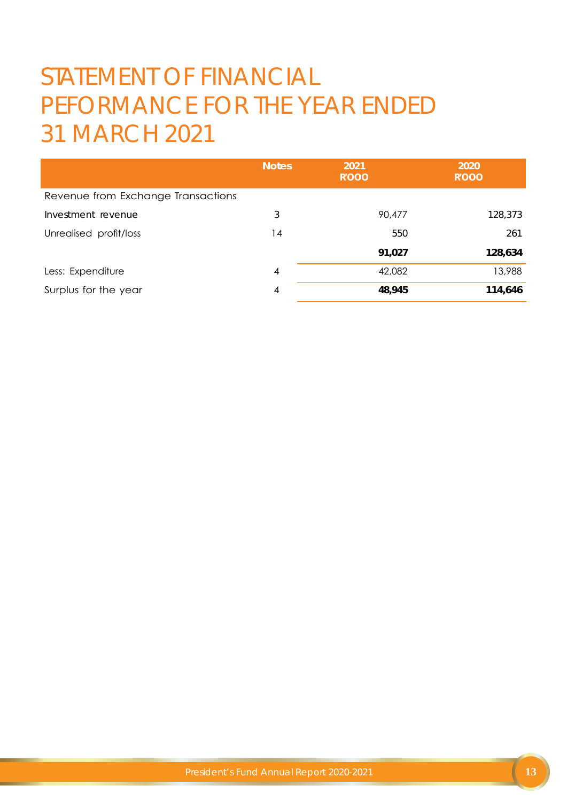## STATEMENT OF FINANCIAL PEFORMANCE FOR THE YEAR ENDED 31 MARCH 2021

|                                    | <b>Notes</b> | 2021<br><b>R'OOO</b> | 2020<br><b>R'OOO</b> |
|------------------------------------|--------------|----------------------|----------------------|
| Revenue from Exchange Transactions |              |                      |                      |
| Investment revenue                 | 3            | 90,477               | 128,373              |
| Unrealised profit/loss             | 14           | 550                  | 261                  |
|                                    |              | 91,027               | 128,634              |
| Less: Expenditure                  | 4            | 42,082               | 13,988               |
| Surplus for the year               | 4            | 48,945               | 114,646              |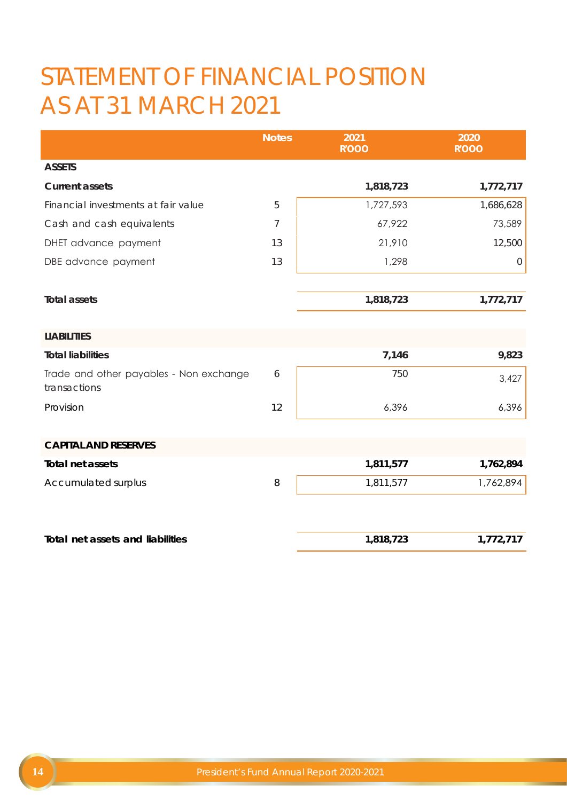## STATEMENT OF FINANCIAL POSITION AS AT 31 MARCH 2021

|                                                         | <b>Notes</b> | 2021<br>R'OOO | 2020<br><b>R'OOO</b> |
|---------------------------------------------------------|--------------|---------------|----------------------|
| <b>ASSETS</b>                                           |              |               |                      |
| <b>Current assets</b>                                   |              | 1,818,723     | 1,772,717            |
| Financial investments at fair value                     | 5            | 1,727,593     | 1,686,628            |
| Cash and cash equivalents                               | 7            | 67,922        | 73,589               |
| DHET advance payment                                    | 13           | 21,910        | 12,500               |
| DBE advance payment                                     | 13           | 1,298         | $\mathbf 0$          |
|                                                         |              |               |                      |
| <b>Total assets</b>                                     |              | 1,818,723     | 1,772,717            |
|                                                         |              |               |                      |
| <b>LIABILITIES</b>                                      |              |               |                      |
| <b>Total liabilities</b>                                |              | 7,146         | 9,823                |
| Trade and other payables - Non exchange<br>transactions | 6            | 750           | 3,427                |
| Provision                                               | 12           | 6,396         | 6,396                |
|                                                         |              |               |                      |
| <b>CAPITAL AND RESERVES</b>                             |              |               |                      |
| <b>Total net assets</b>                                 |              | 1,811,577     | 1,762,894            |
| Accumulated surplus                                     | 8            | 1,811,577     | 1,762,894            |
|                                                         |              |               |                      |
| Total net assets and liabilities                        |              | 1,818,723     | 1,772,717            |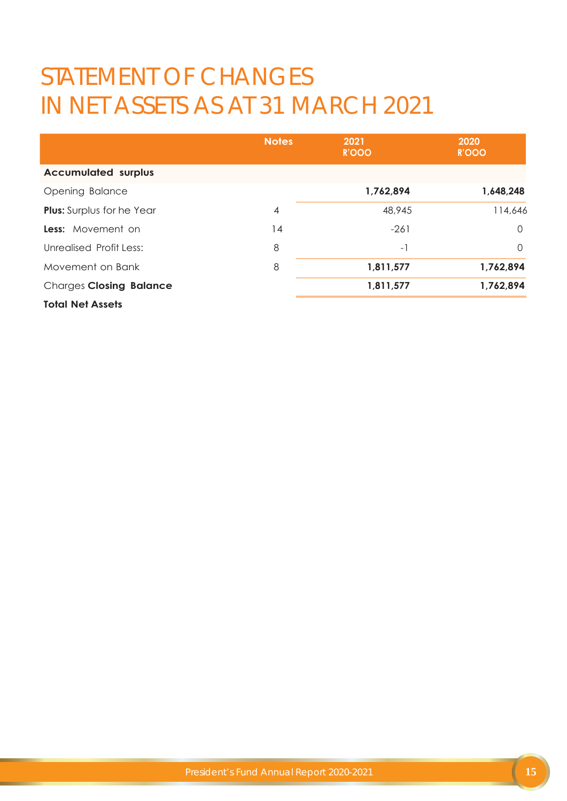## STATEMENT OF CHANGES IN NET ASSETS AS AT 31 MARCH 2021

|                                  | <b>Notes</b> | 2021<br>R'OOO | 2020<br>R'OOO |
|----------------------------------|--------------|---------------|---------------|
| <b>Accumulated surplus</b>       |              |               |               |
| Opening Balance                  |              | 1,762,894     | 1,648,248     |
| <b>Plus:</b> Surplus for he Year | 4            | 48,945        | 114,646       |
| Less: Movement on                | 14           | $-261$        | $\Omega$      |
| Unrealised Profit Less:          | 8            | $-1$          | $\Omega$      |
| Movement on Bank                 | 8            | 1,811,577     | 1,762,894     |
| Charges Closing Balance          |              | 1,811,577     | 1,762,894     |
| <b>Total Net Assets</b>          |              |               |               |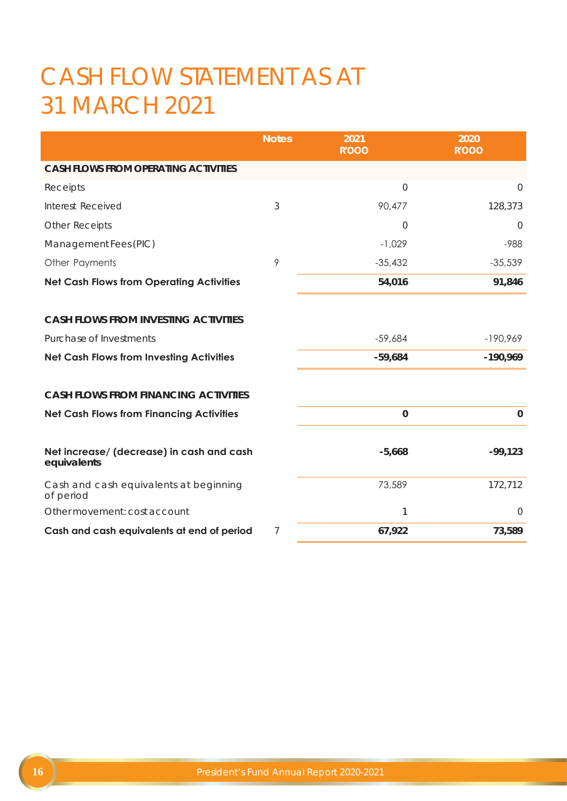## CASH FLOW STATEMENT AS AT 31 MARCH 2021

|                                                          | <b>Notes</b> | 2021<br>R'OOO | 2020<br><b>R'OOO</b> |
|----------------------------------------------------------|--------------|---------------|----------------------|
| <b>CASH FLOWS FROM OPERATING ACTIVITIES</b>              |              |               |                      |
| Receipts                                                 |              | 0             | $\overline{0}$       |
| Interest Received                                        | 3            | 90,477        | 128,373              |
| <b>Other Receipts</b>                                    |              | $\Omega$      | $\Omega$             |
| Management Fees (PIC)                                    |              | $-1,029$      | $-988$               |
| Other Payments                                           | 9            | $-35,432$     | $-35,539$            |
| <b>Net Cash Flows from Operating Activities</b>          |              | 54,016        | 91,846               |
| <b>CASH FLOWS FROM INVESTING ACTIVITIES</b>              |              |               |                      |
| Purchase of Investments                                  |              | $-59,684$     | $-190,969$           |
| <b>Net Cash Flows from Investing Activities</b>          |              | $-59,684$     | $-190,969$           |
| <b>CASH FLOWS FROM FINANCING ACTIVITIES</b>              |              |               |                      |
| <b>Net Cash Flows from Financing Activities</b>          |              | $\mathbf 0$   | $\Omega$             |
| Net increase/ (decrease) in cash and cash<br>equivalents |              | $-5,668$      | $-99,123$            |
| Cash and cash equivalents at beginning<br>of period      |              | 73,589        | 172,712              |
| Other movement: cost account                             |              | $\mathbf{1}$  | $\Omega$             |
| Cash and cash equivalents at end of period               | 7            | 67,922        | 73,589               |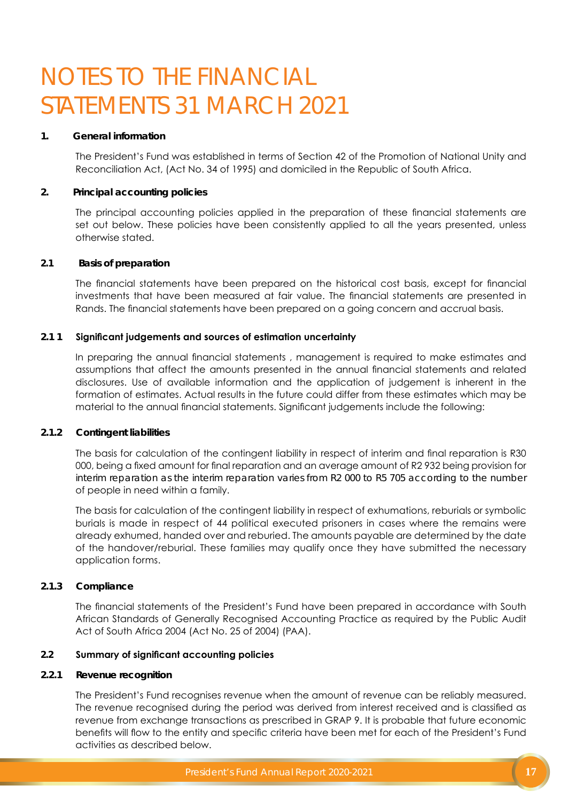## NOTES TO THE FINANCIAL STATEMENTS 31 MARCH 2021

#### **1. General information**

The President's Fund was established in terms of Section 42 of the Promotion of National Unity and Reconciliation Act, (Act No. 34 of 1995) and domiciled in the Republic of South Africa.

#### **2. Principal accounting policies**

The principal accounting policies applied in the preparation of these financial statements are set out below. These policies have been consistently applied to all the years presented, unless otherwise stated.

#### **2.1 Basis of preparation**

The financial statements have been prepared on the historical cost basis, except for financial investments that have been measured at fair value. The financial statements are presented in Rands. The financial statements have been prepared on a going concern and accrual basis.

#### **2.1 1 Significant judgements and sources of estimation uncertainty**

In preparing the annual financial statements , management is required to make estimates and assumptions that affect the amounts presented in the annual financial statements and related disclosures. Use of available information and the application of judgement is inherent in the formation of estimates. Actual results in the future could differ from these estimates which may be material to the annual financial statements. Significant judgements include the following:

#### **2.1.2 Contingent liabilities**

The basis for calculation of the contingent liability in respect of interim and final reparation is R30 000, being a fixed amount for final reparation and an average amount of R2 932 being provision for interim reparation as the interim reparation varies from R2 000 to R5 705 according to the number of people in need within a family.

The basis for calculation of the contingent liability in respect of exhumations, reburials or symbolic burials is made in respect of 44 political executed prisoners in cases where the remains were already exhumed, handed over and reburied. The amounts payable are determined by the date of the handover/reburial. These families may qualify once they have submitted the necessary application forms.

#### **2.1.3 Compliance**

The financial statements of the President's Fund have been prepared in accordance with South African Standards of Generally Recognised Accounting Practice as required by the Public Audit Act of South Africa 2004 (Act No. 25 of 2004) (PAA).

#### **2.2 Summary of significant accounting policies**

#### **2.2.1 Revenue recognition**

The President's Fund recognises revenue when the amount of revenue can be reliably measured. The revenue recognised during the period was derived from interest received and is classified as revenue from exchange transactions as prescribed in GRAP 9. It is probable that future economic benefits will flow to the entity and specific criteria have been met for each of the President's Fund activities as described below.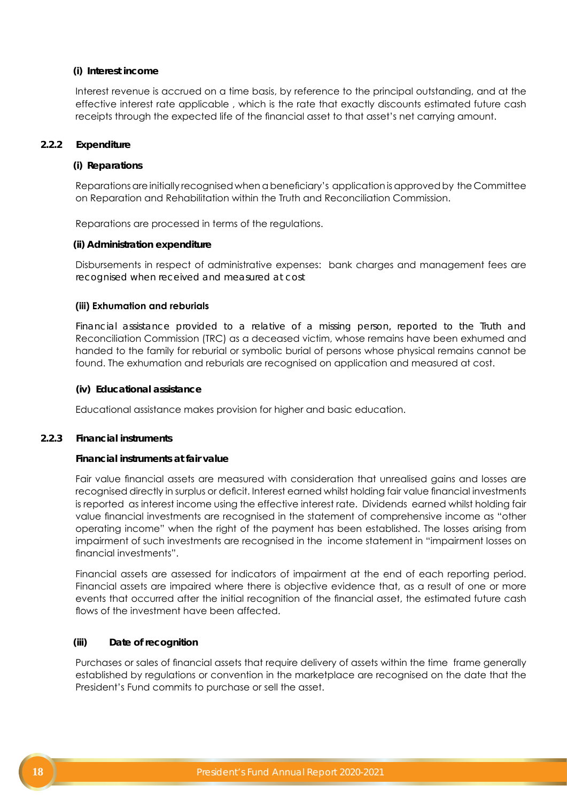#### **(i) Interest income**

Interest revenue is accrued on a time basis, by reference to the principal outstanding, and at the effective interest rate applicable , which is the rate that exactly discounts estimated future cash receipts through the expected life of the financial asset to that asset's net carrying amount.

#### **2.2.2 Expenditure**

#### **(i) Reparations**

Reparations are initially recognised when a beneficiary's application is approved by the Committee on Reparation and Rehabilitation within the Truth and Reconciliation Commission.

Reparations are processed in terms of the regulations.

#### **(ii) Administration expenditure**

Disbursements in respect of administrative expenses: bank charges and management fees are recognised when received and measured at cost

#### **(iii) Exhumation and reburials**

Financial assistance provided to a relative of a missing person, reported to the Truth and Reconciliation Commission (TRC) as a deceased victim, whose remains have been exhumed and handed to the family for reburial or symbolic burial of persons whose physical remains cannot be found. The exhumation and reburials are recognised on application and measured at cost.

#### **(iv) Educational assistance**

Educational assistance makes provision for higher and basic education.

#### **2.2.3 Financial instruments**

#### **Financial instruments at fair value**

Fair value financial assets are measured with consideration that unrealised gains and losses are recognised directly in surplus or deficit. Interest earned whilst holding fair value financial investments is reported as interest income using the effective interest rate. Dividends earned whilst holding fair value financial investments are recognised in the statement of comprehensive income as "other operating income" when the right of the payment has been established. The losses arising from impairment of such investments are recognised in the income statement in "impairment losses on financial investments".

Financial assets are assessed for indicators of impairment at the end of each reporting period. Financial assets are impaired where there is objective evidence that, as a result of one or more events that occurred after the initial recognition of the financial asset, the estimated future cash flows of the investment have been affected.

#### **(iii) Date of recognition**

Purchases or sales of financial assets that require delivery of assets within the time frame generally established by regulations or convention in the marketplace are recognised on the date that the President's Fund commits to purchase or sell the asset.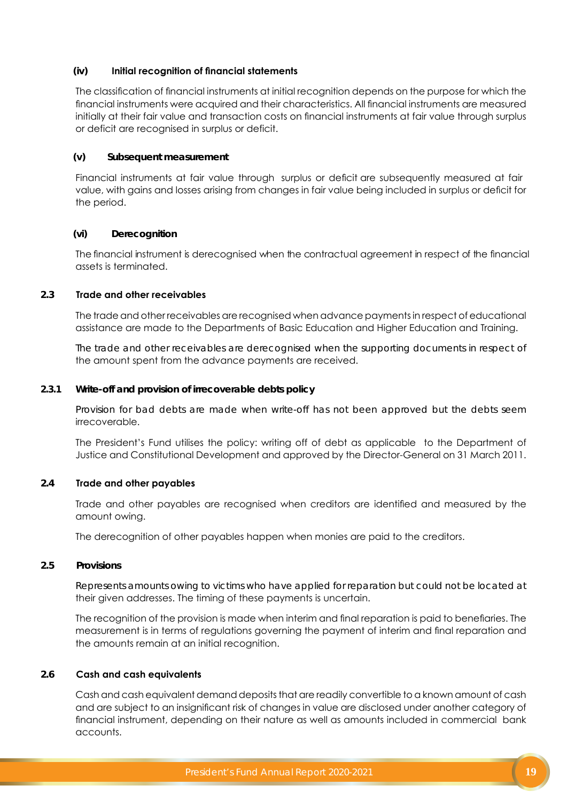#### **(iv) Initial recognition of financial statements**

The classification of financial instruments at initial recognition depends on the purpose for which the financial instruments were acquired and their characteristics. All financial instruments are measured initially at their fair value and transaction costs on financial instruments at fair value through surplus or deficit are recognised in surplus or deficit.

#### **(v) Subsequent measurement**

Financial instruments at fair value through surplus or deficit are subsequently measured at fair value, with gains and losses arising from changes in fair value being included in surplus or deficit for the period.

#### **(vi) Derecognition**

The financial instrument is derecognised when the contractual agreement in respect of the financial assets is terminated.

#### **2.3 Trade and other receivables**

The trade and other receivables are recognised when advance payments in respect of educational assistance are made to the Departments of Basic Education and Higher Education and Training.

The trade and other receivables are derecognised when the supporting documents in respect of the amount spent from the advance payments are received.

#### **2.3.1 Write-off and provision of irrecoverable debts policy**

Provision for bad debts are made when write-off has not been approved but the debts seem irrecoverable.

The President's Fund utilises the policy: writing off of debt as applicable to the Department of Justice and Constitutional Development and approved by the Director-General on 31 March 2011.

#### **2.4 Trade and other payables**

Trade and other payables are recognised when creditors are identified and measured by the amount owing.

The derecognition of other payables happen when monies are paid to the creditors.

#### **2.5 Provisions**

Represents amounts owing to victims who have applied for reparation but could not be located at their given addresses. The timing of these payments is uncertain.

The recognition of the provision is made when interim and final reparation is paid to benefiaries. The measurement is in terms of regulations governing the payment of interim and final reparation and the amounts remain at an initial recognition.

#### **2.6 Cash and cash equivalents**

Cash and cash equivalent demand deposits that are readily convertible to a known amount of cash and are subject to an insignificant risk of changes in value are disclosed under another category of financial instrument, depending on their nature as well as amounts included in commercial bank accounts.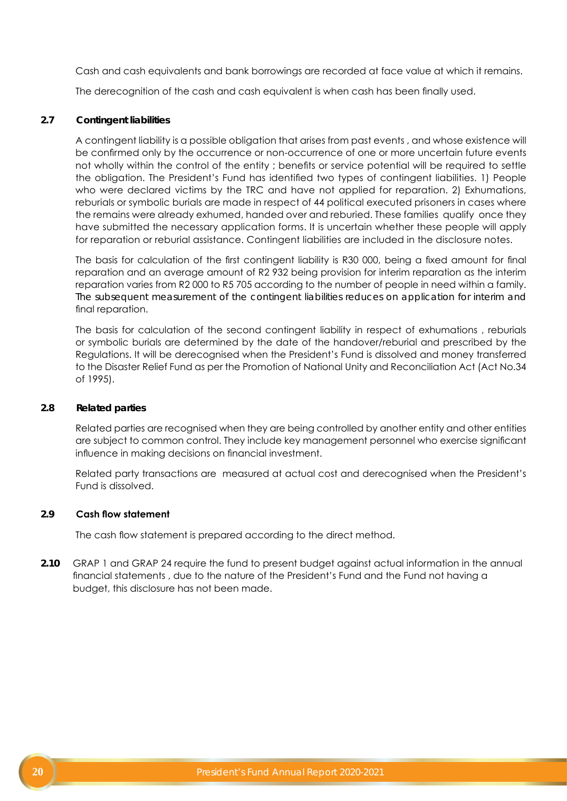Cash and cash equivalents and bank borrowings are recorded at face value at which it remains.

The derecognition of the cash and cash equivalent is when cash has been finally used.

#### **2.7 Contingent liabilities**

A contingent liability is a possible obligation that arises from past events , and whose existence will be confirmed only by the occurrence or non-occurrence of one or more uncertain future events not wholly within the control of the entity ; benefits or service potential will be required to settle the obligation. The President's Fund has identified two types of contingent liabilities. 1) People who were declared victims by the TRC and have not applied for reparation. 2) Exhumations, reburials or symbolic burials are made in respect of 44 political executed prisoners in cases where the remains were already exhumed, handed over and reburied. These families qualify once they have submitted the necessary application forms. It is uncertain whether these people will apply for reparation or reburial assistance. Contingent liabilities are included in the disclosure notes.

The basis for calculation of the first contingent liability is R30 000, being a fixed amount for final reparation and an average amount of R2 932 being provision for interim reparation as the interim reparation varies from R2 000 to R5 705 according to the number of people in need within a family. The subsequent measurement of the contingent liabilities reduces on application for interim and final reparation.

The basis for calculation of the second contingent liability in respect of exhumations , reburials or symbolic burials are determined by the date of the handover/reburial and prescribed by the Regulations. It will be derecognised when the President's Fund is dissolved and money transferred to the Disaster Relief Fund as per the Promotion of National Unity and Reconciliation Act (Act No.34 of 1995).

#### **2.8 Related parties**

Related parties are recognised when they are being controlled by another entity and other entities are subject to common control. They include key management personnel who exercise significant influence in making decisions on financial investment.

Related party transactions are measured at actual cost and derecognised when the President's Fund is dissolved.

#### **2.9 Cash flow statement**

The cash flow statement is prepared according to the direct method.

**2.10** GRAP 1 and GRAP 24 require the fund to present budget against actual information in the annual financial statements , due to the nature of the President's Fund and the Fund not having a budget, this disclosure has not been made.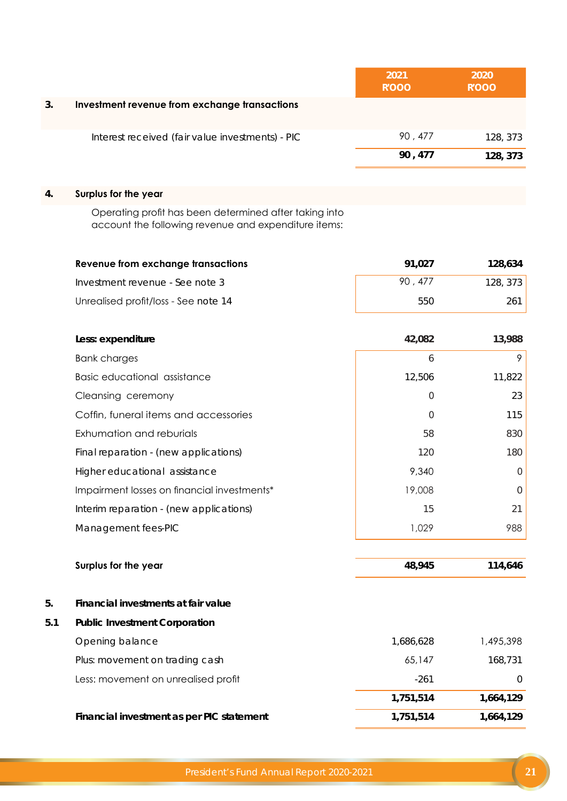|    |                                                  | 2021<br>R'OOO | 2020<br>R'OOO |
|----|--------------------------------------------------|---------------|---------------|
| 3. | Investment revenue from exchange transactions    |               |               |
|    | Interest received (fair value investments) - PIC | 90, 477       | 128, 373      |
|    |                                                  | 90, 477       | 128, 373      |

#### **4. Surplus for the year**

Operating profit has been determined after taking into account the following revenue and expenditure items:

| Revenue from exchange transactions   | 91.027 | 128,634  |
|--------------------------------------|--------|----------|
| Investment revenue - See note 3      | 90.477 | 128, 373 |
| Unrealised profit/loss - See note 14 | 550    | 261      |

|     | Less: expenditure                           | 42,082    | 13,988         |
|-----|---------------------------------------------|-----------|----------------|
|     | <b>Bank charges</b>                         | 6         | 9              |
|     | <b>Basic educational assistance</b>         | 12,506    | 11,822         |
|     | Cleansing ceremony                          | $\Omega$  | 23             |
|     | Coffin, funeral items and accessories       | 0         | 115            |
|     | Exhumation and reburials                    | 58        | 830            |
|     | Final reparation - (new applications)       | 120       | 180            |
|     | Higher educational assistance               | 9,340     | $\overline{0}$ |
|     | Impairment losses on financial investments* | 19,008    | $\mathbf 0$    |
|     | Interim reparation - (new applications)     | 15        | 21             |
|     | Management fees-PIC                         | 1,029     | 988            |
|     | Surplus for the year                        | 48,945    | 114,646        |
| 5.  | Financial investments at fair value         |           |                |
| 5.1 | <b>Public Investment Corporation</b>        |           |                |
|     | Opening balance                             | 1,686,628 | 1,495,398      |
|     | Plus: movement on trading cash              | 65,147    | 168,731        |
|     | Less: movement on unrealised profit         | $-261$    | $\overline{0}$ |
|     |                                             | 1,751,514 | 1,664,129      |

#### **Financial investment as per PIC statement 1,751,514 1,664,129**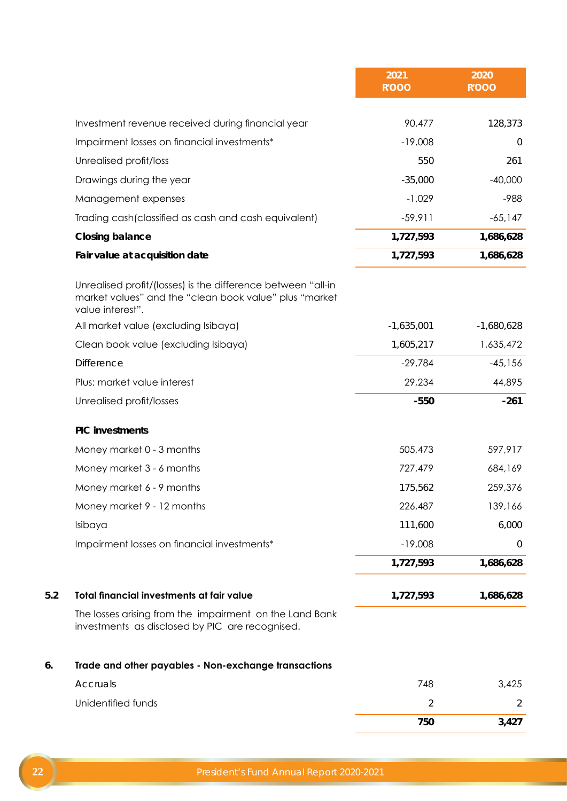|     |                                                                                                                                            | 2021<br>R'OOO  | 2020<br>R'OOO  |
|-----|--------------------------------------------------------------------------------------------------------------------------------------------|----------------|----------------|
|     | Investment revenue received during financial year                                                                                          | 90,477         | 128,373        |
|     | Impairment losses on financial investments*                                                                                                | $-19,008$      | $\overline{0}$ |
|     | Unrealised profit/loss                                                                                                                     | 550            | 261            |
|     | Drawings during the year                                                                                                                   | $-35,000$      | $-40,000$      |
|     | Management expenses                                                                                                                        | $-1,029$       | $-988$         |
|     | Trading cash (classified as cash and cash equivalent)                                                                                      | $-59,911$      | $-65,147$      |
|     | <b>Closing balance</b>                                                                                                                     | 1,727,593      | 1,686,628      |
|     | Fair value at acquisition date                                                                                                             | 1,727,593      | 1,686,628      |
|     | Unrealised profit/(losses) is the difference between "all-in<br>market values" and the "clean book value" plus "market<br>value interest". |                |                |
|     | All market value (excluding Isibaya)                                                                                                       | $-1,635,001$   | $-1,680,628$   |
|     | Clean book value (excluding Isibaya)                                                                                                       | 1,605,217      | 1,635,472      |
|     | <b>Difference</b>                                                                                                                          | $-29,784$      | $-45,156$      |
|     | Plus: market value interest                                                                                                                | 29,234         | 44,895         |
|     | Unrealised profit/losses                                                                                                                   | $-550$         | $-261$         |
|     | PIC investments                                                                                                                            |                |                |
|     | Money market 0 - 3 months                                                                                                                  | 505,473        | 597,917        |
|     | Money market 3 - 6 months                                                                                                                  | 727,479        | 684,169        |
|     | Money market 6 - 9 months                                                                                                                  | 175,562        | 259,376        |
|     | Money market 9 - 12 months                                                                                                                 | 226,487        | 139,166        |
|     | Isibaya                                                                                                                                    | 111,600        | 6,000          |
|     | Impairment losses on financial investments*                                                                                                | $-19,008$      | 0              |
|     |                                                                                                                                            | 1,727,593      | 1,686,628      |
| 5.2 | <b>Total financial investments at fair value</b>                                                                                           | 1,727,593      | 1,686,628      |
|     | The losses arising from the impairment on the Land Bank<br>investments as disclosed by PIC are recognised.                                 |                |                |
| 6.  | Trade and other payables - Non-exchange transactions                                                                                       |                |                |
|     | Accruals                                                                                                                                   | 748            | 3,425          |
|     | Unidentified funds                                                                                                                         | $\overline{2}$ | 2              |
|     |                                                                                                                                            | 750            | 3,427          |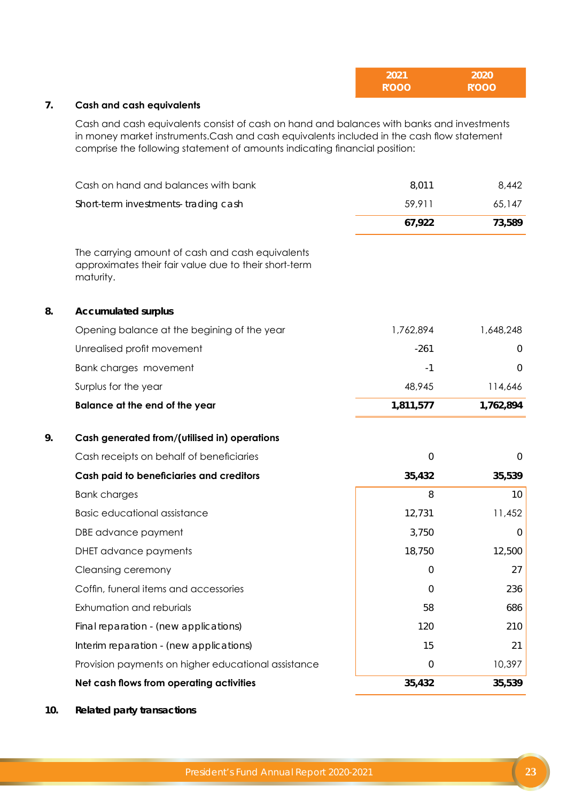| 2021  | 2020  |
|-------|-------|
| R'OOO | R'OOO |

#### **7. Cash and cash equivalents**

Cash and cash equivalents consist of cash on hand and balances with banks and investments in money market instruments.Cash and cash equivalents included in the cash flow statement comprise the following statement of amounts indicating financial position:

|    | Cash on hand and balances with bank                                                                                    | 8,011          | 8,442          |
|----|------------------------------------------------------------------------------------------------------------------------|----------------|----------------|
|    | Short-term investments-trading cash                                                                                    | 59,911         | 65,147         |
|    |                                                                                                                        | 67,922         | 73,589         |
|    | The carrying amount of cash and cash equivalents<br>approximates their fair value due to their short-term<br>maturity. |                |                |
| 8. | <b>Accumulated surplus</b>                                                                                             |                |                |
|    | Opening balance at the begining of the year                                                                            | 1,762,894      | 1,648,248      |
|    | Unrealised profit movement                                                                                             | $-261$         | $\overline{0}$ |
|    | Bank charges movement                                                                                                  | $-1$           | $\overline{0}$ |
|    | Surplus for the year                                                                                                   | 48,945         | 114,646        |
|    | Balance at the end of the year                                                                                         | 1,811,577      | 1,762,894      |
| 9. | Cash generated from/(utilised in) operations                                                                           |                |                |
|    | Cash receipts on behalf of beneficiaries                                                                               | $\overline{0}$ | $\Omega$       |
|    | Cash paid to beneficiaries and creditors                                                                               | 35,432         | 35,539         |
|    | <b>Bank charges</b>                                                                                                    | 8              | 10             |
|    | <b>Basic educational assistance</b>                                                                                    | 12,731         | 11,452         |
|    | DBE advance payment                                                                                                    | 3,750          | $\overline{0}$ |
|    | DHET advance payments                                                                                                  | 18,750         | 12,500         |
|    | Cleansing ceremony                                                                                                     | $\overline{0}$ | 27             |
|    | Coffin, funeral items and accessories                                                                                  | $\overline{0}$ | 236            |
|    | Exhumation and reburials                                                                                               | 58             | 686            |
|    | Final reparation - (new applications)                                                                                  | 120            | 210            |
|    | Interim reparation - (new applications)                                                                                | 15             | 21             |
|    | Provision payments on higher educational assistance                                                                    | $\mathbf 0$    | 10,397         |
|    | Net cash flows from operating activities                                                                               | 35,432         | 35,539         |
|    |                                                                                                                        |                |                |

**10. Related party transactions**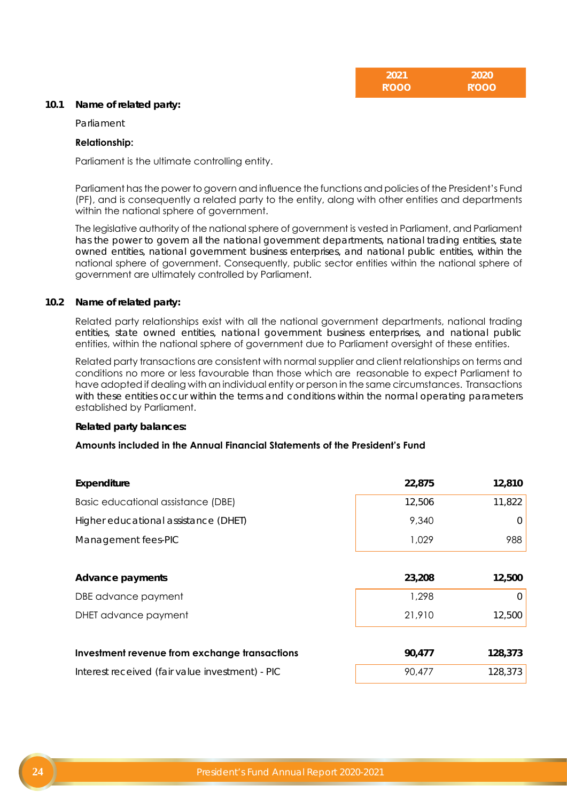| 2021  | 2020  |
|-------|-------|
| R'OOO | R'OOO |

#### **10.1 Name of related party:**

Parliament

#### **Relationship:**

Parliament is the ultimate controlling entity.

Parliament has the power to govern and influence the functions and policies of the President's Fund (PF), and is consequently a related party to the entity, along with other entities and departments within the national sphere of government.

The legislative authority of the national sphere of government is vested in Parliament, and Parliament has the power to govern all the national government departments, national trading entities, state owned entities, national government business enterprises, and national public entities, within the national sphere of government. Consequently, public sector entities within the national sphere of government are ultimately controlled by Parliament.

#### **10.2 Name of related party:**

Related party relationships exist with all the national government departments, national trading entities, state owned entities, national government business enterprises, and national public entities, within the national sphere of government due to Parliament oversight of these entities.

Related party transactions are consistent with normal supplier and client relationships on terms and conditions no more or less favourable than those which are reasonable to expect Parliament to have adopted if dealing with an individual entity or person in the same circumstances. Transactions with these entities occur within the terms and conditions within the normal operating parameters established by Parliament.

#### **Related party balances:**

#### **Amounts included in the Annual Financial Statements of the President's Fund**

| Expenditure                                     | 22,875 | 12,810   |
|-------------------------------------------------|--------|----------|
| Basic educational assistance (DBE)              | 12,506 | 11,822   |
| Higher educational assistance (DHET)            | 9,340  | 0        |
| Management fees-PIC                             | 1,029  | 988      |
|                                                 |        |          |
| <b>Advance payments</b>                         | 23,208 | 12,500   |
| DBE advance payment                             | 1,298  | $\Omega$ |
| DHET advance payment                            | 21,910 | 12,500   |
|                                                 |        |          |
| Investment revenue from exchange transactions   | 90,477 | 128,373  |
| Interest received (fair value investment) - PIC | 90,477 | 128,373  |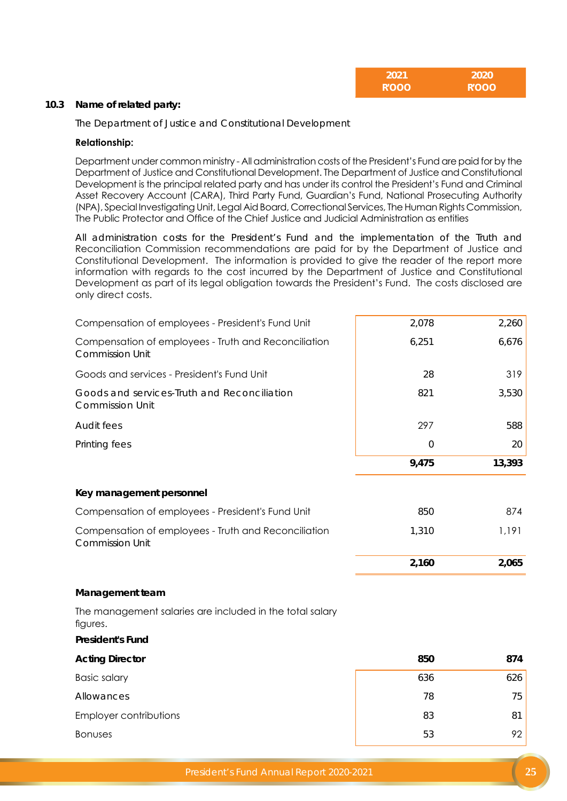| 2021  | 2020  |
|-------|-------|
| R'OOO | R'OOO |

#### **10.3 Name of related party:**

The Department of Justice and Constitutional Development

#### **Relationship:**

Department under common ministry - All administration costs of the President's Fund are paid for by the Department of Justice and Constitutional Development. The Department of Justice and Constitutional Development is the principal related party and has under its control the President's Fund and Criminal Asset Recovery Account (CARA), Third Party Fund, Guardian's Fund, National Prosecuting Authority (NPA), Special Investigating Unit, Legal Aid Board, Correctional Services, The Human Rights Commission, The Public Protector and Office of the Chief Justice and Judicial Administration as entities

All administration costs for the President's Fund and the implementation of the Truth and Reconciliation Commission recommendations are paid for by the Department of Justice and Constitutional Development. The information is provided to give the reader of the report more information with regards to the cost incurred by the Department of Justice and Constitutional Development as part of its legal obligation towards the President's Fund. The costs disclosed are only direct costs.

|                                                                                | 2,160 | 2,065  |
|--------------------------------------------------------------------------------|-------|--------|
| <b>Commission Unit</b>                                                         |       |        |
| Compensation of employees - Truth and Reconciliation                           | 1,310 | 1,191  |
| Compensation of employees - President's Fund Unit                              | 850   | 874    |
| Key management personnel                                                       |       |        |
|                                                                                |       |        |
|                                                                                | 9,475 | 13,393 |
| Printing fees                                                                  | 0     | 20     |
| Audit fees                                                                     | 297   | 588    |
| Goods and services-Truth and Reconciliation<br><b>Commission Unit</b>          | 821   | 3,530  |
| Goods and services - President's Fund Unit                                     | 28    | 319    |
| Compensation of employees - Truth and Reconciliation<br><b>Commission Unit</b> | 6,251 | 6,676  |
| Compensation of employees - President's Fund Unit                              | 2,078 | 2,260  |

#### **Management team**

The management salaries are included in the total salary figures. **President's Fund**

| <b>President's Fund</b> |     |     |
|-------------------------|-----|-----|
| <b>Acting Director</b>  | 850 | 874 |
| <b>Basic salary</b>     | 636 | 626 |
| Allowances              | 78  | 75  |
| Employer contributions  | 83  | 81  |
| <b>Bonuses</b>          | 53  | 92  |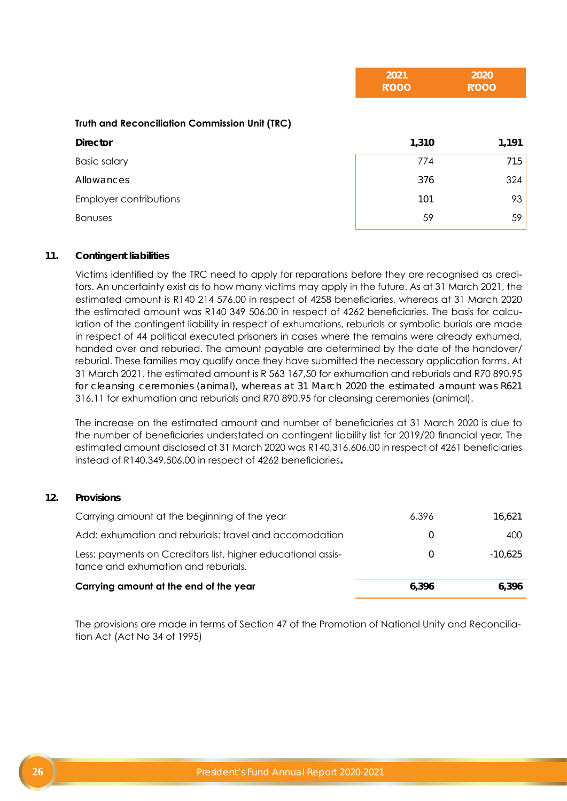|                                                       | 2021<br>R'OOO | 2020<br><b>R'OOO</b> |
|-------------------------------------------------------|---------------|----------------------|
| <b>Truth and Reconciliation Commission Unit (TRC)</b> |               |                      |
| <b>Director</b>                                       | 1,310         | 1,191                |
| <b>Basic salary</b>                                   | 774           | 715                  |
| Allowances                                            | 376           | 324                  |
| Employer contributions                                | 101           | 93                   |
| <b>Bonuses</b>                                        | 59            | 59                   |

#### **11. Contingent liabilities**

Victims identified by the TRC need to apply for reparations before they are recognised as creditors. An uncertainty exist as to how many victims may apply in the future. As at 31 March 2021, the estimated amount is R140 214 576.00 in respect of 4258 beneficiaries, whereas at 31 March 2020 the estimated amount was R140 349 506.00 in respect of 4262 beneficiaries. The basis for calculation of the contingent liability in respect of exhumations, reburials or symbolic burials are made in respect of 44 political executed prisoners in cases where the remains were already exhumed, handed over and reburied. The amount payable are determined by the date of the handover/ reburial. These families may qualify once they have submitted the necessary application forms. At 31 March 2021, the estimated amount is R 563 167,50 for exhumation and reburials and R70 890.95 for cleansing ceremonies (animal), whereas at 31 March 2020 the estimated amount was R621 316.11 for exhumation and reburials and R70 890.95 for cleansing ceremonies (animal).

The increase on the estimated amount and number of beneficiaries at 31 March 2020 is due to the number of beneficiaries understated on contingent liability list for 2019/20 financial year. The estimated amount disclosed at 31 March 2020 was R140,316,606.00 in respect of 4261 beneficiaries instead of R140,349,506.00 in respect of 4262 beneficiaries**.**

#### **12. Provisions**

| Carrying amount at the beginning of the year                                                        | 6.396            | 16.621    |
|-----------------------------------------------------------------------------------------------------|------------------|-----------|
| Add: exhumation and reburials: travel and accomodation                                              | $\left( \right)$ | 400       |
| Less: payments on Ccreditors list, higher educational assis-<br>tance and exhumation and reburials. |                  | $-10.625$ |
| Carrying amount at the end of the year                                                              | 6.396            | 6.396     |

The provisions are made in terms of Section 47 of the Promotion of National Unity and Reconciliation Act (Act No 34 of 1995)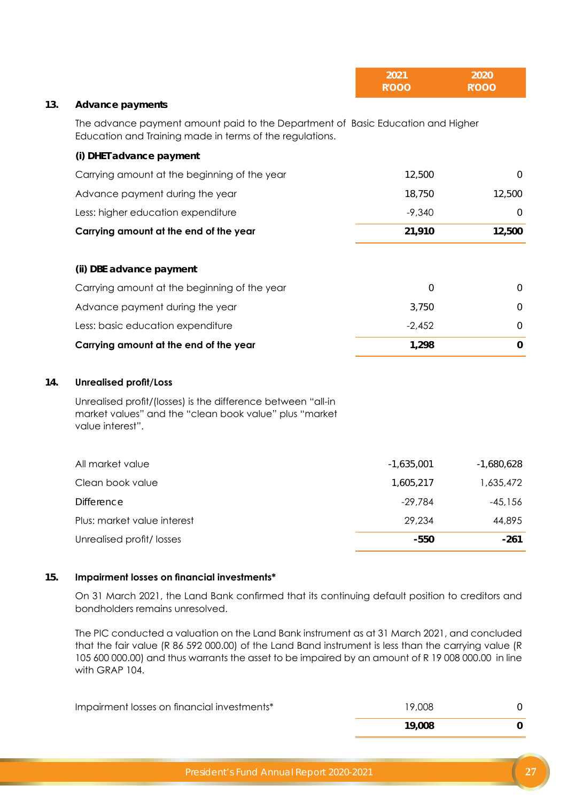|     |                                                                                                                                             | 2021<br>R'OOO | 2020<br>R'OOO |
|-----|---------------------------------------------------------------------------------------------------------------------------------------------|---------------|---------------|
| 13. | <b>Advance payments</b>                                                                                                                     |               |               |
|     | The advance payment amount paid to the Department of Basic Education and Higher<br>Education and Training made in terms of the regulations. |               |               |
|     | (i) DHET advance payment                                                                                                                    |               |               |
|     | Carrying amount at the beginning of the year                                                                                                | 12,500        | $\Omega$      |
|     | Advance payment during the year                                                                                                             | 18,750        | 12,500        |
|     | Less: higher education expenditure                                                                                                          | $-9,340$      | $\Omega$      |
|     | Carrying amount at the end of the year                                                                                                      | 21,910        | 12,500        |
|     | (ii) DBE advance payment                                                                                                                    |               |               |
|     | Carrying amount at the beginning of the year                                                                                                | $\Omega$      | $\Omega$      |
|     | Advance payment during the year                                                                                                             | 3,750         | $\Omega$      |
|     | Less: basic education expenditure                                                                                                           | $-2,452$      | $\Omega$      |
|     | Carrying amount at the end of the year                                                                                                      | 1,298         | $\mathbf{0}$  |
| 14. | <b>Unrealised profit/Loss</b>                                                                                                               |               |               |
|     | Unrealised profit/(losses) is the difference between "all-in                                                                                |               |               |

market values" and the "clean book value" plus "market value interest".

| Unrealised profit/losses    | $-550$       | $-261$       |
|-----------------------------|--------------|--------------|
| Plus: market value interest | 29.234       | 44,895       |
| <b>Difference</b>           | $-29,784$    | -45,156      |
| Clean book value            | 1,605,217    | 1,635,472    |
| All market value            | $-1,635,001$ | $-1,680,628$ |
|                             |              |              |

#### **15. Impairment losses on financial investments\***

On 31 March 2021, the Land Bank confirmed that its continuing default position to creditors and bondholders remains unresolved.

The PIC conducted a valuation on the Land Bank instrument as at 31 March 2021, and concluded that the fair value (R 86 592 000.00) of the Land Band instrument is less than the carrying value (R 105 600 000.00) and thus warrants the asset to be impaired by an amount of R 19 008 000.00 in line with GRAP 104.

|                                             | 19,008 |  |
|---------------------------------------------|--------|--|
| Impairment losses on financial investments* | 19.008 |  |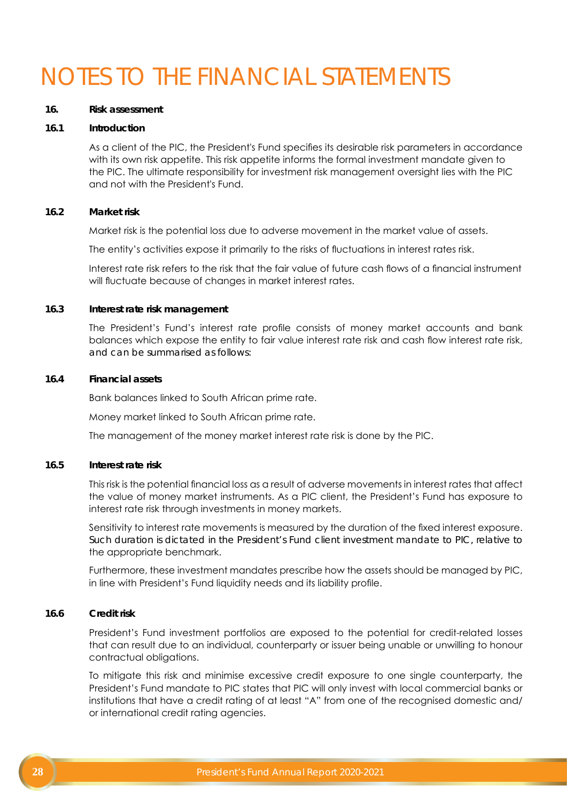## NOTES TO THE FINANCIAL STATEMENTS

#### **16. Risk assessment**

#### **16.1 Introduction**

As a client of the PIC, the President's Fund specifies its desirable risk parameters in accordance with its own risk appetite. This risk appetite informs the formal investment mandate given to the PIC. The ultimate responsibility for investment risk management oversight lies with the PIC and not with the President's Fund.

#### **16.2 Market risk**

Market risk is the potential loss due to adverse movement in the market value of assets.

The entity's activities expose it primarily to the risks of fluctuations in interest rates risk.

Interest rate risk refers to the risk that the fair value of future cash flows of a financial instrument will fluctuate because of changes in market interest rates.

#### **16.3 Interest rate risk management**

The President's Fund's interest rate profile consists of money market accounts and bank balances which expose the entity to fair value interest rate risk and cash flow interest rate risk, and can be summarised as follows:

#### **16.4 Financial assets**

Bank balances linked to South African prime rate.

Money market linked to South African prime rate.

The management of the money market interest rate risk is done by the PIC.

#### **16.5 Interest rate risk**

This risk is the potential financial loss as a result of adverse movements in interest rates that affect the value of money market instruments. As a PIC client, the President's Fund has exposure to interest rate risk through investments in money markets.

Sensitivity to interest rate movements is measured by the duration of the fixed interest exposure. Such duration is dictated in the President's Fund client investment mandate to PIC, relative to the appropriate benchmark.

Furthermore, these investment mandates prescribe how the assets should be managed by PIC, in line with President's Fund liquidity needs and its liability profile.

#### **16.6 Credit risk**

President's Fund investment portfolios are exposed to the potential for credit-related losses that can result due to an individual, counterparty or issuer being unable or unwilling to honour contractual obligations.

To mitigate this risk and minimise excessive credit exposure to one single counterparty, the President's Fund mandate to PIC states that PIC will only invest with local commercial banks or institutions that have a credit rating of at least "A" from one of the recognised domestic and/ or international credit rating agencies.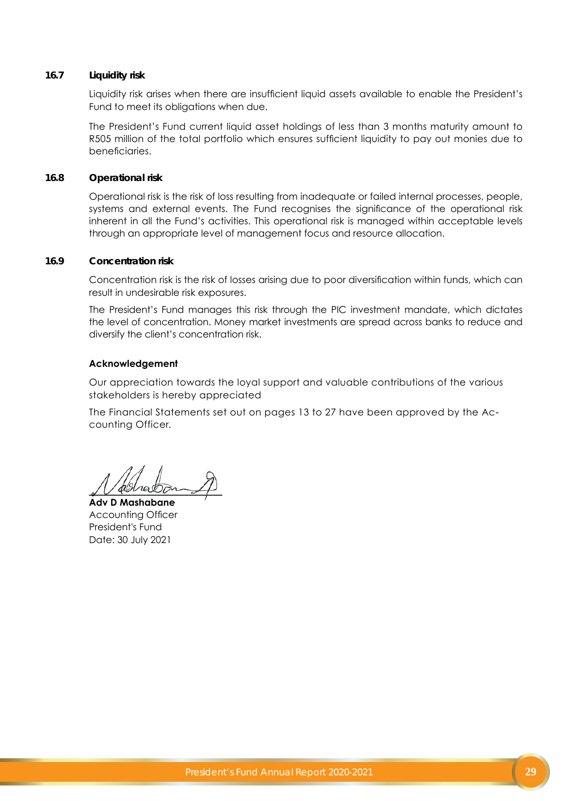#### **16.7 Liquidity risk**

Liquidity risk arises when there are insufficient liquid assets available to enable the President's Fund to meet its obligations when due.

The President's Fund current liquid asset holdings of less than 3 months maturity amount to R505 million of the total portfolio which ensures sufficient liquidity to pay out monies due to beneficiaries.

#### **16.8 Operational risk**

Operational risk is the risk of loss resulting from inadequate or failed internal processes, people, systems and external events. The Fund recognises the significance of the operational risk inherent in all the Fund's activities. This operational risk is managed within acceptable levels through an appropriate level of management focus and resource allocation.

#### **16.9 Concentration risk**

Concentration risk is the risk of losses arising due to poor diversification within funds, which can result in undesirable risk exposures.

The President's Fund manages this risk through the PIC investment mandate, which dictates the level of concentration. Money market investments are spread across banks to reduce and diversify the client's concentration risk.

#### **Acknowledgement**

Our appreciation towards the loyal support and valuable contributions of the various stakeholders is hereby appreciated

The Financial Statements set out on pages 13 to 27 have been approved by the Accounting Officer.

**\_\_\_\_\_\_\_\_\_\_\_\_\_\_\_\_\_\_\_\_\_\_\_\_\_\_\_\_**

**Adv D Mashabane** Accounting Officer President's Fund Date: 30 July 2021